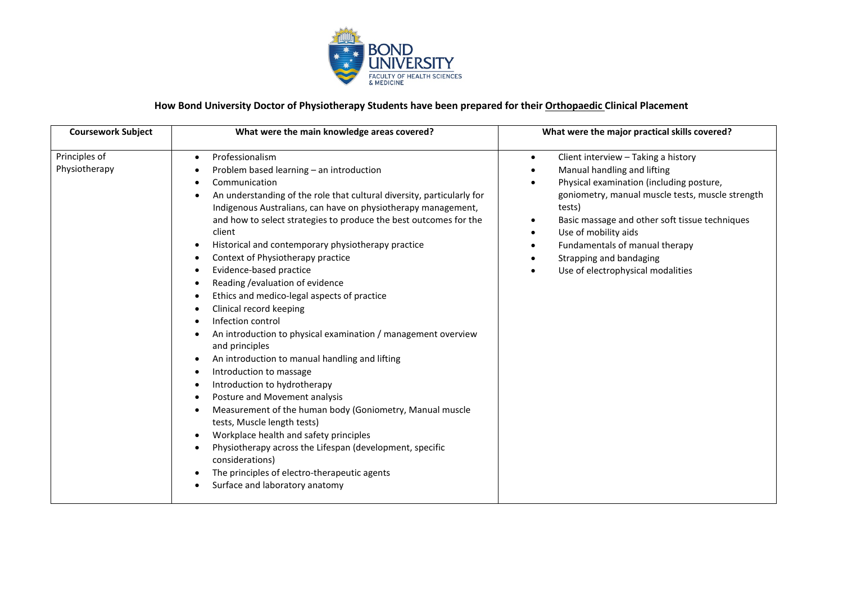

## **How Bond University Doctor of Physiotherapy Students have been prepared for their Orthopaedic Clinical Placement**

| <b>Coursework Subject</b>      | What were the main knowledge areas covered?                                                                                                                                                                                                                                                                                                                                                                                                                                                                                                                                                                                                                                                                                                                                                                                                                                                                                                                                                                                                                                                                                      | What were the major practical skills covered?                                                                                                                                                                                                                                                                                                                                      |
|--------------------------------|----------------------------------------------------------------------------------------------------------------------------------------------------------------------------------------------------------------------------------------------------------------------------------------------------------------------------------------------------------------------------------------------------------------------------------------------------------------------------------------------------------------------------------------------------------------------------------------------------------------------------------------------------------------------------------------------------------------------------------------------------------------------------------------------------------------------------------------------------------------------------------------------------------------------------------------------------------------------------------------------------------------------------------------------------------------------------------------------------------------------------------|------------------------------------------------------------------------------------------------------------------------------------------------------------------------------------------------------------------------------------------------------------------------------------------------------------------------------------------------------------------------------------|
| Principles of<br>Physiotherapy | Professionalism<br>$\bullet$<br>Problem based learning - an introduction<br>Communication<br>An understanding of the role that cultural diversity, particularly for<br>Indigenous Australians, can have on physiotherapy management,<br>and how to select strategies to produce the best outcomes for the<br>client<br>Historical and contemporary physiotherapy practice<br>Context of Physiotherapy practice<br>Evidence-based practice<br>Reading / evaluation of evidence<br>Ethics and medico-legal aspects of practice<br>Clinical record keeping<br>Infection control<br>An introduction to physical examination / management overview<br>and principles<br>An introduction to manual handling and lifting<br>Introduction to massage<br>Introduction to hydrotherapy<br>Posture and Movement analysis<br>Measurement of the human body (Goniometry, Manual muscle<br>tests, Muscle length tests)<br>Workplace health and safety principles<br>Physiotherapy across the Lifespan (development, specific<br>considerations)<br>The principles of electro-therapeutic agents<br>$\bullet$<br>Surface and laboratory anatomy | Client interview - Taking a history<br>$\bullet$<br>Manual handling and lifting<br>Physical examination (including posture,<br>$\bullet$<br>goniometry, manual muscle tests, muscle strength<br>tests)<br>Basic massage and other soft tissue techniques<br>Use of mobility aids<br>Fundamentals of manual therapy<br>Strapping and bandaging<br>Use of electrophysical modalities |